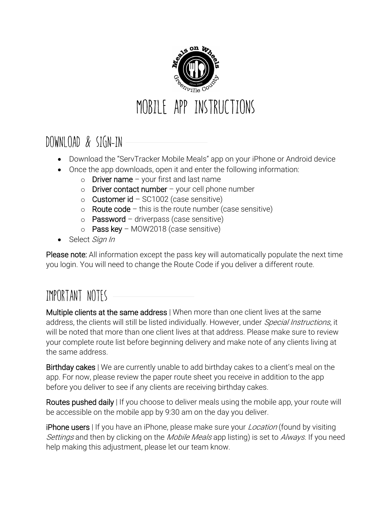

## DOWNLOAD & SIGN-IN

- Download the "ServTracker Mobile Meals" app on your iPhone or Android device
- Once the app downloads, open it and enter the following information:
	- $\circ$  Driver name your first and last name
	- $\circ$  Driver contact number your cell phone number
	- o Customer id  $SC1002$  (case sensitive)
	- o Route code this is the route number (case sensitive)
	- $\circ$  Password driverpass (case sensitive)
	- $\circ$  Pass key MOW2018 (case sensitive)
- Select Sign In

Please note: All information except the pass key will automatically populate the next time you login. You will need to change the Route Code if you deliver a different route.

## IMPORTANT NOTES

Multiple clients at the same address | When more than one client lives at the same address, the clients will still be listed individually. However, under Special Instructions, it will be noted that more than one client lives at that address. Please make sure to review your complete route list before beginning delivery and make note of any clients living at the same address.

Birthday cakes | We are currently unable to add birthday cakes to a client's meal on the app. For now, please review the paper route sheet you receive in addition to the app before you deliver to see if any clients are receiving birthday cakes.

Routes pushed daily | If you choose to deliver meals using the mobile app, your route will be accessible on the mobile app by 9:30 am on the day you deliver.

**iPhone users** I If you have an iPhone, please make sure your *Location* (found by visiting Settings and then by clicking on the *Mobile Meals* app listing) is set to *Always*. If you need help making this adjustment, please let our team know.